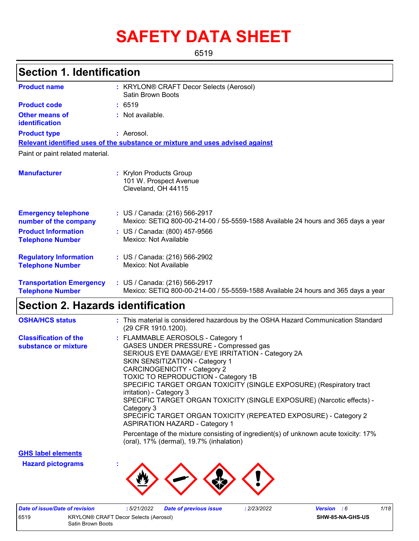# **SAFETY DATA SHEET**

6519

## **Section 1. Identification**

| <b>Product name</b>                                        | : KRYLON® CRAFT Decor Selects (Aerosol)<br><b>Satin Brown Boots</b>                                                |
|------------------------------------------------------------|--------------------------------------------------------------------------------------------------------------------|
| <b>Product code</b>                                        | : 6519                                                                                                             |
| <b>Other means of</b><br>identification                    | : Not available.                                                                                                   |
| <b>Product type</b>                                        | : Aerosol.                                                                                                         |
|                                                            | Relevant identified uses of the substance or mixture and uses advised against                                      |
| Paint or paint related material.                           |                                                                                                                    |
| <b>Manufacturer</b>                                        | : Krylon Products Group<br>101 W. Prospect Avenue<br>Cleveland, OH 44115                                           |
| <b>Emergency telephone</b><br>number of the company        | : US / Canada: (216) 566-2917<br>Mexico: SETIQ 800-00-214-00 / 55-5559-1588 Available 24 hours and 365 days a year |
| <b>Product Information</b><br><b>Telephone Number</b>      | : US / Canada: (800) 457-9566<br>Mexico: Not Available                                                             |
| <b>Regulatory Information</b><br><b>Telephone Number</b>   | : US / Canada: (216) 566-2902<br>Mexico: Not Available                                                             |
| <b>Transportation Emergency</b><br><b>Telephone Number</b> | : US / Canada: (216) 566-2917<br>Mexico: SETIQ 800-00-214-00 / 55-5559-1588 Available 24 hours and 365 days a year |

# **Section 2. Hazards identification**

| <b>OSHA/HCS status</b>                               | : This material is considered hazardous by the OSHA Hazard Communication Standard<br>(29 CFR 1910.1200).                                                                                                                                                                                                                                                                                                                                                                                                                                              |
|------------------------------------------------------|-------------------------------------------------------------------------------------------------------------------------------------------------------------------------------------------------------------------------------------------------------------------------------------------------------------------------------------------------------------------------------------------------------------------------------------------------------------------------------------------------------------------------------------------------------|
| <b>Classification of the</b><br>substance or mixture | : FLAMMABLE AEROSOLS - Category 1<br>GASES UNDER PRESSURE - Compressed gas<br>SERIOUS EYE DAMAGE/ EYE IRRITATION - Category 2A<br>SKIN SENSITIZATION - Category 1<br><b>CARCINOGENICITY - Category 2</b><br>TOXIC TO REPRODUCTION - Category 1B<br>SPECIFIC TARGET ORGAN TOXICITY (SINGLE EXPOSURE) (Respiratory tract<br>irritation) - Category 3<br>SPECIFIC TARGET ORGAN TOXICITY (SINGLE EXPOSURE) (Narcotic effects) -<br>Category 3<br>SPECIFIC TARGET ORGAN TOXICITY (REPEATED EXPOSURE) - Category 2<br><b>ASPIRATION HAZARD - Category 1</b> |
|                                                      | Percentage of the mixture consisting of ingredient(s) of unknown acute toxicity: 17%<br>(oral), 17% (dermal), 19.7% (inhalation)                                                                                                                                                                                                                                                                                                                                                                                                                      |

**GHS label elements**

**Hazard pictograms :**



|      | Date of issue/Date of revision | :5/21/2022                                   | Dat |
|------|--------------------------------|----------------------------------------------|-----|
| 6519 |                                | <b>KRYLON® CRAFT Decor Selects (Aerosol)</b> |     |
|      | Satin Brown Boots              |                                              |     |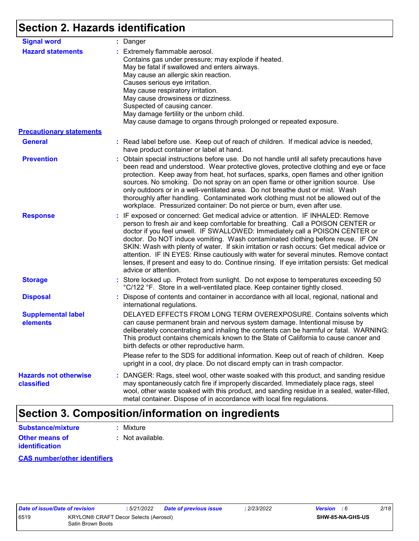## **Section 2. Hazards identification**

| <b>Signal word</b>                         | : Danger                                                                                                                                                                                                                                                                                                                                                                                                                                                                                                                                                                                                                                           |
|--------------------------------------------|----------------------------------------------------------------------------------------------------------------------------------------------------------------------------------------------------------------------------------------------------------------------------------------------------------------------------------------------------------------------------------------------------------------------------------------------------------------------------------------------------------------------------------------------------------------------------------------------------------------------------------------------------|
| <b>Hazard statements</b>                   | : Extremely flammable aerosol.<br>Contains gas under pressure; may explode if heated.<br>May be fatal if swallowed and enters airways.<br>May cause an allergic skin reaction.<br>Causes serious eye irritation.<br>May cause respiratory irritation.<br>May cause drowsiness or dizziness.<br>Suspected of causing cancer.<br>May damage fertility or the unborn child.<br>May cause damage to organs through prolonged or repeated exposure.                                                                                                                                                                                                     |
| <b>Precautionary statements</b>            |                                                                                                                                                                                                                                                                                                                                                                                                                                                                                                                                                                                                                                                    |
| <b>General</b>                             | : Read label before use. Keep out of reach of children. If medical advice is needed,<br>have product container or label at hand.                                                                                                                                                                                                                                                                                                                                                                                                                                                                                                                   |
| <b>Prevention</b>                          | : Obtain special instructions before use. Do not handle until all safety precautions have<br>been read and understood. Wear protective gloves, protective clothing and eye or face<br>protection. Keep away from heat, hot surfaces, sparks, open flames and other ignition<br>sources. No smoking. Do not spray on an open flame or other ignition source. Use<br>only outdoors or in a well-ventilated area. Do not breathe dust or mist. Wash<br>thoroughly after handling. Contaminated work clothing must not be allowed out of the<br>workplace. Pressurized container: Do not pierce or burn, even after use.                               |
| <b>Response</b>                            | : IF exposed or concerned: Get medical advice or attention. IF INHALED: Remove<br>person to fresh air and keep comfortable for breathing. Call a POISON CENTER or<br>doctor if you feel unwell. IF SWALLOWED: Immediately call a POISON CENTER or<br>doctor. Do NOT induce vomiting. Wash contaminated clothing before reuse. IF ON<br>SKIN: Wash with plenty of water. If skin irritation or rash occurs: Get medical advice or<br>attention. IF IN EYES: Rinse cautiously with water for several minutes. Remove contact<br>lenses, if present and easy to do. Continue rinsing. If eye irritation persists: Get medical<br>advice or attention. |
| <b>Storage</b>                             | : Store locked up. Protect from sunlight. Do not expose to temperatures exceeding 50<br>°C/122 °F. Store in a well-ventilated place. Keep container tightly closed.                                                                                                                                                                                                                                                                                                                                                                                                                                                                                |
| <b>Disposal</b>                            | : Dispose of contents and container in accordance with all local, regional, national and<br>international regulations.                                                                                                                                                                                                                                                                                                                                                                                                                                                                                                                             |
| <b>Supplemental label</b><br>elements      | DELAYED EFFECTS FROM LONG TERM OVEREXPOSURE. Contains solvents which<br>can cause permanent brain and nervous system damage. Intentional misuse by<br>deliberately concentrating and inhaling the contents can be harmful or fatal. WARNING:<br>This product contains chemicals known to the State of California to cause cancer and<br>birth defects or other reproductive harm.                                                                                                                                                                                                                                                                  |
|                                            | Please refer to the SDS for additional information. Keep out of reach of children. Keep<br>upright in a cool, dry place. Do not discard empty can in trash compactor.                                                                                                                                                                                                                                                                                                                                                                                                                                                                              |
| <b>Hazards not otherwise</b><br>classified | : DANGER: Rags, steel wool, other waste soaked with this product, and sanding residue<br>may spontaneously catch fire if improperly discarded. Immediately place rags, steel<br>wool, other waste soaked with this product, and sanding residue in a sealed, water-filled,<br>metal container. Dispose of in accordance with local fire regulations.                                                                                                                                                                                                                                                                                               |

## **Section 3. Composition/information on ingredients**

| Substance/mixture     | : Mixture        |
|-----------------------|------------------|
| <b>Other means of</b> | : Not available. |
| <b>identification</b> |                  |

**CAS number/other identifiers**

| Jale VI ISSUE/Da |  |  |  |
|------------------|--|--|--|
| 3519             |  |  |  |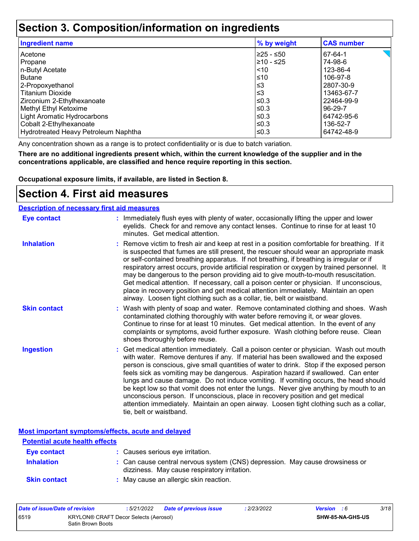### **Section 3. Composition/information on ingredients**

| <b>Ingredient name</b>               | % by weight | <b>CAS number</b> |
|--------------------------------------|-------------|-------------------|
| l Acetone                            | 225 - ≤50   | 67-64-1           |
| Propane                              | l≥10 - ≤25  | 74-98-6           |
| n-Butyl Acetate                      | $\leq 10$   | 123-86-4          |
| Butane                               | l≤10        | 106-97-8          |
| 2-Propoxyethanol                     | ՝≤3         | 2807-30-9         |
| l Titanium Dioxide                   | ՝≤3         | 13463-67-7        |
| Zirconium 2-Ethylhexanoate           | l≤0.3       | 22464-99-9        |
| Methyl Ethyl Ketoxime                | l≤0.3       | 96-29-7           |
| Light Aromatic Hydrocarbons          | l≤0.3       | 64742-95-6        |
| Cobalt 2-Ethylhexanoate              | l≤0.3       | 136-52-7          |
| Hydrotreated Heavy Petroleum Naphtha | ≤0.3        | 64742-48-9        |

Any concentration shown as a range is to protect confidentiality or is due to batch variation.

**There are no additional ingredients present which, within the current knowledge of the supplier and in the concentrations applicable, are classified and hence require reporting in this section.**

**Occupational exposure limits, if available, are listed in Section 8.**

### **Section 4. First aid measures**

#### **Description of necessary first aid measures**

| <b>Eye contact</b>  | : Immediately flush eyes with plenty of water, occasionally lifting the upper and lower<br>eyelids. Check for and remove any contact lenses. Continue to rinse for at least 10<br>minutes. Get medical attention.                                                                                                                                                                                                                                                                                                                                                                                                                                                                                                                                       |
|---------------------|---------------------------------------------------------------------------------------------------------------------------------------------------------------------------------------------------------------------------------------------------------------------------------------------------------------------------------------------------------------------------------------------------------------------------------------------------------------------------------------------------------------------------------------------------------------------------------------------------------------------------------------------------------------------------------------------------------------------------------------------------------|
| <b>Inhalation</b>   | : Remove victim to fresh air and keep at rest in a position comfortable for breathing. If it<br>is suspected that fumes are still present, the rescuer should wear an appropriate mask<br>or self-contained breathing apparatus. If not breathing, if breathing is irregular or if<br>respiratory arrest occurs, provide artificial respiration or oxygen by trained personnel. It<br>may be dangerous to the person providing aid to give mouth-to-mouth resuscitation.<br>Get medical attention. If necessary, call a poison center or physician. If unconscious,<br>place in recovery position and get medical attention immediately. Maintain an open<br>airway. Loosen tight clothing such as a collar, tie, belt or waistband.                    |
| <b>Skin contact</b> | : Wash with plenty of soap and water. Remove contaminated clothing and shoes. Wash<br>contaminated clothing thoroughly with water before removing it, or wear gloves.<br>Continue to rinse for at least 10 minutes. Get medical attention. In the event of any<br>complaints or symptoms, avoid further exposure. Wash clothing before reuse. Clean<br>shoes thoroughly before reuse.                                                                                                                                                                                                                                                                                                                                                                   |
| <b>Ingestion</b>    | : Get medical attention immediately. Call a poison center or physician. Wash out mouth<br>with water. Remove dentures if any. If material has been swallowed and the exposed<br>person is conscious, give small quantities of water to drink. Stop if the exposed person<br>feels sick as vomiting may be dangerous. Aspiration hazard if swallowed. Can enter<br>lungs and cause damage. Do not induce vomiting. If vomiting occurs, the head should<br>be kept low so that vomit does not enter the lungs. Never give anything by mouth to an<br>unconscious person. If unconscious, place in recovery position and get medical<br>attention immediately. Maintain an open airway. Loosen tight clothing such as a collar,<br>tie, belt or waistband. |

**Most important symptoms/effects, acute and delayed**

| <b>Potential acute health effects</b> |                                                                                                                              |
|---------------------------------------|------------------------------------------------------------------------------------------------------------------------------|
| Eye contact                           | : Causes serious eye irritation.                                                                                             |
| <b>Inhalation</b>                     | : Can cause central nervous system (CNS) depression. May cause drowsiness or<br>dizziness. May cause respiratory irritation. |
| <b>Skin contact</b>                   | : May cause an allergic skin reaction.                                                                                       |

| Date of issue/Date of revision |                                                            | : 5/21/2022 | Date of previous issue | : 2/23/2022 | <b>Version</b> : 6 |                         | 3/18 |
|--------------------------------|------------------------------------------------------------|-------------|------------------------|-------------|--------------------|-------------------------|------|
| 6519                           | KRYLON® CRAFT Decor Selects (Aerosol)<br>Satin Brown Boots |             |                        |             |                    | <b>SHW-85-NA-GHS-US</b> |      |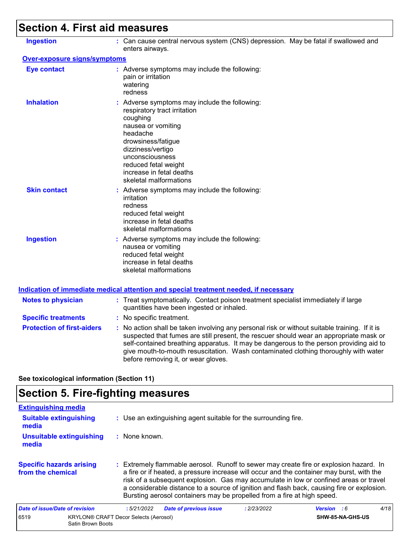# **Section 4. First aid measures**

| <b>Ingestion</b>                  | : Can cause central nervous system (CNS) depression. May be fatal if swallowed and<br>enters airways.                                                                                                                                                                                                                                                                                                           |
|-----------------------------------|-----------------------------------------------------------------------------------------------------------------------------------------------------------------------------------------------------------------------------------------------------------------------------------------------------------------------------------------------------------------------------------------------------------------|
| Over-exposure signs/symptoms      |                                                                                                                                                                                                                                                                                                                                                                                                                 |
| <b>Eye contact</b>                | : Adverse symptoms may include the following:<br>pain or irritation<br>watering<br>redness                                                                                                                                                                                                                                                                                                                      |
| <b>Inhalation</b>                 | : Adverse symptoms may include the following:<br>respiratory tract irritation<br>coughing<br>nausea or vomiting<br>headache<br>drowsiness/fatigue<br>dizziness/vertigo<br>unconsciousness<br>reduced fetal weight<br>increase in fetal deaths<br>skeletal malformations                                                                                                                                         |
| <b>Skin contact</b>               | : Adverse symptoms may include the following:<br>irritation<br>redness<br>reduced fetal weight<br>increase in fetal deaths<br>skeletal malformations                                                                                                                                                                                                                                                            |
| <b>Ingestion</b>                  | : Adverse symptoms may include the following:<br>nausea or vomiting<br>reduced fetal weight<br>increase in fetal deaths<br>skeletal malformations                                                                                                                                                                                                                                                               |
|                                   | Indication of immediate medical attention and special treatment needed, if necessary                                                                                                                                                                                                                                                                                                                            |
| <b>Notes to physician</b>         | : Treat symptomatically. Contact poison treatment specialist immediately if large<br>quantities have been ingested or inhaled.                                                                                                                                                                                                                                                                                  |
| <b>Specific treatments</b>        | : No specific treatment.                                                                                                                                                                                                                                                                                                                                                                                        |
| <b>Protection of first-aiders</b> | : No action shall be taken involving any personal risk or without suitable training. If it is<br>suspected that fumes are still present, the rescuer should wear an appropriate mask or<br>self-contained breathing apparatus. It may be dangerous to the person providing aid to<br>give mouth-to-mouth resuscitation. Wash contaminated clothing thoroughly with water<br>before removing it, or wear gloves. |
|                                   |                                                                                                                                                                                                                                                                                                                                                                                                                 |

**See toxicological information (Section 11)**

# **Section 5. Fire-fighting measures**

| <b>Extinguishing media</b>                           |                                                                                                                                                                                                                                                                                                                                                                                                                                                       |                    |      |
|------------------------------------------------------|-------------------------------------------------------------------------------------------------------------------------------------------------------------------------------------------------------------------------------------------------------------------------------------------------------------------------------------------------------------------------------------------------------------------------------------------------------|--------------------|------|
| <b>Suitable extinguishing</b><br>media               | : Use an extinguishing agent suitable for the surrounding fire.                                                                                                                                                                                                                                                                                                                                                                                       |                    |      |
| <b>Unsuitable extinguishing</b><br>media             | : None known.                                                                                                                                                                                                                                                                                                                                                                                                                                         |                    |      |
| <b>Specific hazards arising</b><br>from the chemical | : Extremely flammable aerosol. Runoff to sewer may create fire or explosion hazard. In<br>a fire or if heated, a pressure increase will occur and the container may burst, with the<br>risk of a subsequent explosion. Gas may accumulate in low or confined areas or travel<br>a considerable distance to a source of ignition and flash back, causing fire or explosion.<br>Bursting aerosol containers may be propelled from a fire at high speed. |                    |      |
| Date of issue/Date of revision                       | <b>Date of previous issue</b><br>: 2/23/2022<br>:5/21/2022                                                                                                                                                                                                                                                                                                                                                                                            | <b>Version</b> : 6 | 4/18 |
| 6519<br>Satin Brown Boots                            | <b>KRYLON® CRAFT Decor Selects (Aerosol)</b>                                                                                                                                                                                                                                                                                                                                                                                                          | SHW-85-NA-GHS-US   |      |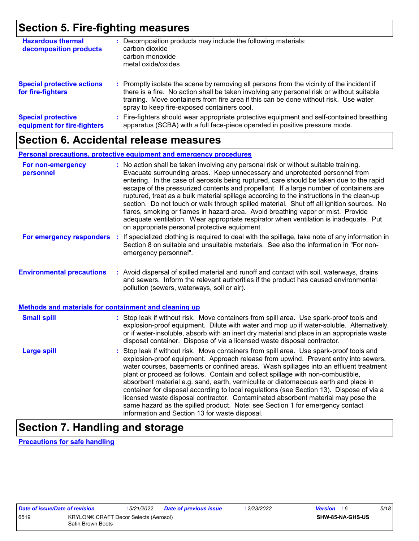### **Section 5. Fire-fighting measures**

| <b>Hazardous thermal</b><br>decomposition products       | Decomposition products may include the following materials:<br>carbon dioxide<br>carbon monoxide<br>metal oxide/oxides                                                                                                                                                                                                        |
|----------------------------------------------------------|-------------------------------------------------------------------------------------------------------------------------------------------------------------------------------------------------------------------------------------------------------------------------------------------------------------------------------|
| <b>Special protective actions</b><br>for fire-fighters   | : Promptly isolate the scene by removing all persons from the vicinity of the incident if<br>there is a fire. No action shall be taken involving any personal risk or without suitable<br>training. Move containers from fire area if this can be done without risk. Use water<br>spray to keep fire-exposed containers cool. |
| <b>Special protective</b><br>equipment for fire-fighters | Fire-fighters should wear appropriate protective equipment and self-contained breathing<br>apparatus (SCBA) with a full face-piece operated in positive pressure mode.                                                                                                                                                        |

### **Section 6. Accidental release measures**

#### **Personal precautions, protective equipment and emergency procedures**

| For non-emergency<br>personnel                        | : No action shall be taken involving any personal risk or without suitable training.<br>Evacuate surrounding areas. Keep unnecessary and unprotected personnel from<br>entering. In the case of aerosols being ruptured, care should be taken due to the rapid<br>escape of the pressurized contents and propellant. If a large number of containers are<br>ruptured, treat as a bulk material spillage according to the instructions in the clean-up<br>section. Do not touch or walk through spilled material. Shut off all ignition sources. No<br>flares, smoking or flames in hazard area. Avoid breathing vapor or mist. Provide<br>adequate ventilation. Wear appropriate respirator when ventilation is inadequate. Put<br>on appropriate personal protective equipment. |
|-------------------------------------------------------|----------------------------------------------------------------------------------------------------------------------------------------------------------------------------------------------------------------------------------------------------------------------------------------------------------------------------------------------------------------------------------------------------------------------------------------------------------------------------------------------------------------------------------------------------------------------------------------------------------------------------------------------------------------------------------------------------------------------------------------------------------------------------------|
| For emergency responders                              | : If specialized clothing is required to deal with the spillage, take note of any information in<br>Section 8 on suitable and unsuitable materials. See also the information in "For non-<br>emergency personnel".                                                                                                                                                                                                                                                                                                                                                                                                                                                                                                                                                               |
| <b>Environmental precautions</b>                      | : Avoid dispersal of spilled material and runoff and contact with soil, waterways, drains<br>and sewers. Inform the relevant authorities if the product has caused environmental<br>pollution (sewers, waterways, soil or air).                                                                                                                                                                                                                                                                                                                                                                                                                                                                                                                                                  |
| Methods and materials for containment and cleaning up |                                                                                                                                                                                                                                                                                                                                                                                                                                                                                                                                                                                                                                                                                                                                                                                  |
| <b>Small spill</b>                                    | : Stop leak if without risk. Move containers from spill area. Use spark-proof tools and<br>explosion-proof equipment. Dilute with water and mop up if water-soluble. Alternatively,<br>or if water-insoluble, absorb with an inert dry material and place in an appropriate waste<br>disposal container. Dispose of via a licensed waste disposal contractor.                                                                                                                                                                                                                                                                                                                                                                                                                    |
| <b>Large spill</b>                                    | : Stop leak if without risk. Move containers from spill area. Use spark-proof tools and<br>explosion-proof equipment. Approach release from upwind. Prevent entry into sewers,<br>water courses, basements or confined areas. Wash spillages into an effluent treatment<br>plant or proceed as follows. Contain and collect spillage with non-combustible,<br>absorbent material e.g. sand, earth, vermiculite or diatomaceous earth and place in<br>container for disposal according to local regulations (see Section 13). Dispose of via a<br>licensed waste disposal contractor. Contaminated absorbent material may pose the<br>same hazard as the spilled product. Note: see Section 1 for emergency contact<br>information and Section 13 for waste disposal.             |

# **Section 7. Handling and storage**

**Precautions for safe handling**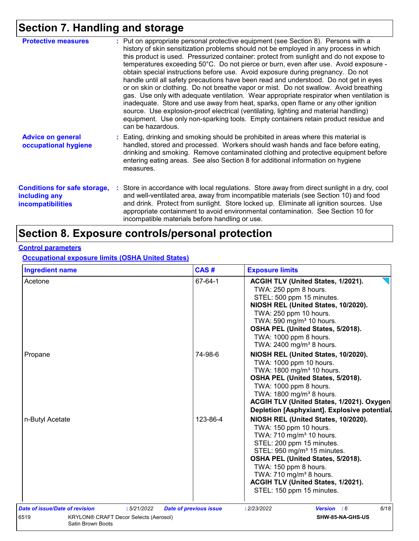# **Section 7. Handling and storage**

| <b>Protective measures</b>                                                       | : Put on appropriate personal protective equipment (see Section 8). Persons with a<br>history of skin sensitization problems should not be employed in any process in which<br>this product is used. Pressurized container: protect from sunlight and do not expose to<br>temperatures exceeding 50°C. Do not pierce or burn, even after use. Avoid exposure -<br>obtain special instructions before use. Avoid exposure during pregnancy. Do not<br>handle until all safety precautions have been read and understood. Do not get in eyes<br>or on skin or clothing. Do not breathe vapor or mist. Do not swallow. Avoid breathing<br>gas. Use only with adequate ventilation. Wear appropriate respirator when ventilation is<br>inadequate. Store and use away from heat, sparks, open flame or any other ignition<br>source. Use explosion-proof electrical (ventilating, lighting and material handling)<br>equipment. Use only non-sparking tools. Empty containers retain product residue and<br>can be hazardous. |
|----------------------------------------------------------------------------------|---------------------------------------------------------------------------------------------------------------------------------------------------------------------------------------------------------------------------------------------------------------------------------------------------------------------------------------------------------------------------------------------------------------------------------------------------------------------------------------------------------------------------------------------------------------------------------------------------------------------------------------------------------------------------------------------------------------------------------------------------------------------------------------------------------------------------------------------------------------------------------------------------------------------------------------------------------------------------------------------------------------------------|
| <b>Advice on general</b><br>occupational hygiene                                 | : Eating, drinking and smoking should be prohibited in areas where this material is<br>handled, stored and processed. Workers should wash hands and face before eating,<br>drinking and smoking. Remove contaminated clothing and protective equipment before<br>entering eating areas. See also Section 8 for additional information on hygiene<br>measures.                                                                                                                                                                                                                                                                                                                                                                                                                                                                                                                                                                                                                                                             |
| <b>Conditions for safe storage,</b><br>including any<br><b>incompatibilities</b> | : Store in accordance with local regulations. Store away from direct sunlight in a dry, cool<br>and well-ventilated area, away from incompatible materials (see Section 10) and food<br>and drink. Protect from sunlight. Store locked up. Eliminate all ignition sources. Use<br>appropriate containment to avoid environmental contamination. See Section 10 for<br>incompatible materials before handling or use.                                                                                                                                                                                                                                                                                                                                                                                                                                                                                                                                                                                                      |

### **Section 8. Exposure controls/personal protection**

#### **Control parameters**

**Occupational exposure limits (OSHA United States)**

| <b>Ingredient name</b>         |                                              | CAS#                          | <b>Exposure limits</b>                                                                                                                                                                                                                                                                                                                                |
|--------------------------------|----------------------------------------------|-------------------------------|-------------------------------------------------------------------------------------------------------------------------------------------------------------------------------------------------------------------------------------------------------------------------------------------------------------------------------------------------------|
| Acetone                        |                                              | 67-64-1                       | ACGIH TLV (United States, 1/2021).<br>TWA: 250 ppm 8 hours.<br>STEL: 500 ppm 15 minutes.<br>NIOSH REL (United States, 10/2020).<br>TWA: 250 ppm 10 hours.<br>TWA: 590 mg/m <sup>3</sup> 10 hours.<br>OSHA PEL (United States, 5/2018).<br>TWA: 1000 ppm 8 hours.<br>TWA: 2400 mg/m <sup>3</sup> 8 hours.                                              |
| Propane                        |                                              | 74-98-6                       | NIOSH REL (United States, 10/2020).<br>TWA: 1000 ppm 10 hours.<br>TWA: 1800 mg/m <sup>3</sup> 10 hours.<br>OSHA PEL (United States, 5/2018).<br>TWA: 1000 ppm 8 hours.<br>TWA: 1800 mg/m <sup>3</sup> 8 hours.<br>ACGIH TLV (United States, 1/2021). Oxygen<br>Depletion [Asphyxiant]. Explosive potential.                                           |
| n-Butyl Acetate                |                                              | 123-86-4                      | NIOSH REL (United States, 10/2020).<br>TWA: 150 ppm 10 hours.<br>TWA: 710 mg/m <sup>3</sup> 10 hours.<br>STEL: 200 ppm 15 minutes.<br>STEL: 950 mg/m <sup>3</sup> 15 minutes.<br>OSHA PEL (United States, 5/2018).<br>TWA: 150 ppm 8 hours.<br>TWA: 710 mg/m <sup>3</sup> 8 hours.<br>ACGIH TLV (United States, 1/2021).<br>STEL: 150 ppm 15 minutes. |
| Date of issue/Date of revision | :5/21/2022                                   | <b>Date of previous issue</b> | 6/18<br>: 2/23/2022<br><b>Version</b> : 6                                                                                                                                                                                                                                                                                                             |
| 6519<br>Satin Brown Boots      | <b>KRYLON® CRAFT Decor Selects (Aerosol)</b> |                               | SHW-85-NA-GHS-US                                                                                                                                                                                                                                                                                                                                      |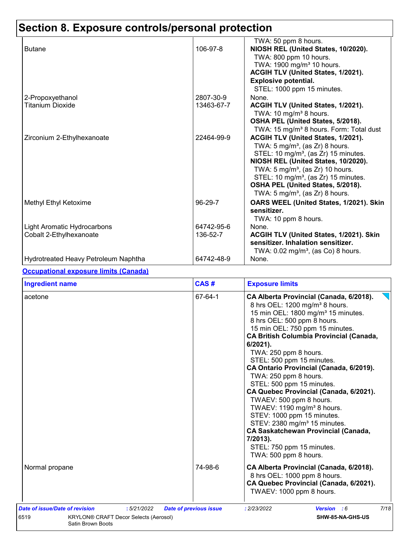# **Section 8. Exposure controls/personal protection**

|                                      |            | TWA: 50 ppm 8 hours.                                |
|--------------------------------------|------------|-----------------------------------------------------|
| <b>Butane</b>                        | 106-97-8   | NIOSH REL (United States, 10/2020).                 |
|                                      |            | TWA: 800 ppm 10 hours.                              |
|                                      |            | TWA: 1900 mg/m <sup>3</sup> 10 hours.               |
|                                      |            | ACGIH TLV (United States, 1/2021).                  |
|                                      |            | <b>Explosive potential.</b>                         |
|                                      |            | STEL: 1000 ppm 15 minutes.                          |
| 2-Propoxyethanol                     | 2807-30-9  | None.                                               |
| <b>Titanium Dioxide</b>              | 13463-67-7 | ACGIH TLV (United States, 1/2021).                  |
|                                      |            | TWA: 10 mg/m <sup>3</sup> 8 hours.                  |
|                                      |            | OSHA PEL (United States, 5/2018).                   |
|                                      |            | TWA: 15 mg/m <sup>3</sup> 8 hours. Form: Total dust |
| Zirconium 2-Ethylhexanoate           | 22464-99-9 | ACGIH TLV (United States, 1/2021).                  |
|                                      |            | TWA: $5 \text{ mg/m}^3$ , (as Zr) 8 hours.          |
|                                      |            | STEL: 10 mg/m <sup>3</sup> , (as Zr) 15 minutes.    |
|                                      |            | NIOSH REL (United States, 10/2020).                 |
|                                      |            | TWA: $5 \text{ mg/m}^3$ , (as Zr) 10 hours.         |
|                                      |            | STEL: 10 mg/m <sup>3</sup> , (as Zr) 15 minutes.    |
|                                      |            | OSHA PEL (United States, 5/2018).                   |
|                                      |            | TWA: 5 mg/m <sup>3</sup> , (as Zr) 8 hours.         |
| Methyl Ethyl Ketoxime                | 96-29-7    | OARS WEEL (United States, 1/2021). Skin             |
|                                      |            | sensitizer.                                         |
|                                      |            | TWA: 10 ppm 8 hours.                                |
| Light Aromatic Hydrocarbons          | 64742-95-6 | None.                                               |
| Cobalt 2-Ethylhexanoate              | 136-52-7   | ACGIH TLV (United States, 1/2021). Skin             |
|                                      |            | sensitizer. Inhalation sensitizer.                  |
|                                      |            | TWA: $0.02 \text{ mg/m}^3$ , (as Co) 8 hours.       |
| Hydrotreated Heavy Petroleum Naphtha | 64742-48-9 | None.                                               |

#### **Occupational exposure limits (Canada)**

| <b>Ingredient name</b>                                                                                                    | CAS#                                                                                                                                                                                                                                                                                                                                                                                                                                                                                                                                                                                                                                                                                                                                                            | <b>Exposure limits</b>                                                                                                                        |  |
|---------------------------------------------------------------------------------------------------------------------------|-----------------------------------------------------------------------------------------------------------------------------------------------------------------------------------------------------------------------------------------------------------------------------------------------------------------------------------------------------------------------------------------------------------------------------------------------------------------------------------------------------------------------------------------------------------------------------------------------------------------------------------------------------------------------------------------------------------------------------------------------------------------|-----------------------------------------------------------------------------------------------------------------------------------------------|--|
| acetone                                                                                                                   | 67-64-1<br>CA Alberta Provincial (Canada, 6/2018).<br>8 hrs OEL: 1200 mg/m <sup>3</sup> 8 hours.<br>15 min OEL: 1800 mg/m <sup>3</sup> 15 minutes.<br>8 hrs OEL: 500 ppm 8 hours.<br>15 min OEL: 750 ppm 15 minutes.<br><b>CA British Columbia Provincial (Canada,</b><br>$6/2021$ .<br>TWA: 250 ppm 8 hours.<br>STEL: 500 ppm 15 minutes.<br>CA Ontario Provincial (Canada, 6/2019).<br>TWA: 250 ppm 8 hours.<br>STEL: 500 ppm 15 minutes.<br>CA Quebec Provincial (Canada, 6/2021).<br>TWAEV: 500 ppm 8 hours.<br>TWAEV: 1190 mg/m <sup>3</sup> 8 hours.<br>STEV: 1000 ppm 15 minutes.<br>STEV: 2380 mg/m <sup>3</sup> 15 minutes.<br><b>CA Saskatchewan Provincial (Canada,</b><br>7/2013).<br>STEL: 750 ppm 15 minutes.<br>TWA: 500 ppm 8 hours.<br>74-98-6 |                                                                                                                                               |  |
| Normal propane                                                                                                            |                                                                                                                                                                                                                                                                                                                                                                                                                                                                                                                                                                                                                                                                                                                                                                 | CA Alberta Provincial (Canada, 6/2018).<br>8 hrs OEL: 1000 ppm 8 hours.<br>CA Quebec Provincial (Canada, 6/2021).<br>TWAEV: 1000 ppm 8 hours. |  |
| Date of issue/Date of revision<br>:5/21/2022<br>6519<br><b>KRYLON® CRAFT Decor Selects (Aerosol)</b><br>Satin Brown Boots | <b>Date of previous issue</b>                                                                                                                                                                                                                                                                                                                                                                                                                                                                                                                                                                                                                                                                                                                                   | 7/18<br>: 2/23/2022<br>Version : 6<br>SHW-85-NA-GHS-US                                                                                        |  |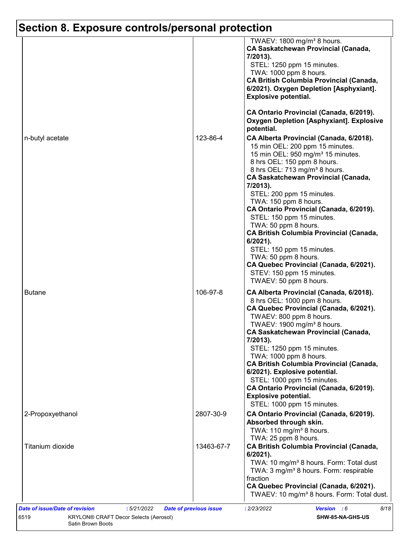# **Section 8. Exposure controls/personal protection**

|                  |            | TWAEV: 1800 mg/m <sup>3</sup> 8 hours.<br><b>CA Saskatchewan Provincial (Canada,</b><br>7/2013).<br>STEL: 1250 ppm 15 minutes.<br>TWA: 1000 ppm 8 hours.<br><b>CA British Columbia Provincial (Canada,</b><br>6/2021). Oxygen Depletion [Asphyxiant].<br><b>Explosive potential.</b>                                                                                                                                                                                                                |
|------------------|------------|-----------------------------------------------------------------------------------------------------------------------------------------------------------------------------------------------------------------------------------------------------------------------------------------------------------------------------------------------------------------------------------------------------------------------------------------------------------------------------------------------------|
|                  |            | CA Ontario Provincial (Canada, 6/2019).<br><b>Oxygen Depletion [Asphyxiant]. Explosive</b><br>potential.                                                                                                                                                                                                                                                                                                                                                                                            |
| n-butyl acetate  | 123-86-4   | CA Alberta Provincial (Canada, 6/2018).<br>15 min OEL: 200 ppm 15 minutes.<br>15 min OEL: 950 mg/m <sup>3</sup> 15 minutes.<br>8 hrs OEL: 150 ppm 8 hours.<br>8 hrs OEL: 713 mg/m <sup>3</sup> 8 hours.<br><b>CA Saskatchewan Provincial (Canada,</b><br>7/2013).<br>STEL: 200 ppm 15 minutes.<br>TWA: 150 ppm 8 hours.<br>CA Ontario Provincial (Canada, 6/2019).<br>STEL: 150 ppm 15 minutes.                                                                                                     |
|                  |            | TWA: 50 ppm 8 hours.<br>CA British Columbia Provincial (Canada,<br>6/2021).<br>STEL: 150 ppm 15 minutes.<br>TWA: 50 ppm 8 hours.<br>CA Quebec Provincial (Canada, 6/2021).<br>STEV: 150 ppm 15 minutes.<br>TWAEV: 50 ppm 8 hours.                                                                                                                                                                                                                                                                   |
| <b>Butane</b>    | 106-97-8   | CA Alberta Provincial (Canada, 6/2018).<br>8 hrs OEL: 1000 ppm 8 hours.<br>CA Quebec Provincial (Canada, 6/2021).<br>TWAEV: 800 ppm 8 hours.<br>TWAEV: 1900 mg/m <sup>3</sup> 8 hours.<br><b>CA Saskatchewan Provincial (Canada,</b><br>7/2013).<br>STEL: 1250 ppm 15 minutes.<br>TWA: 1000 ppm 8 hours.<br><b>CA British Columbia Provincial (Canada,</b><br>6/2021). Explosive potential.<br>STEL: 1000 ppm 15 minutes.<br>CA Ontario Provincial (Canada, 6/2019).<br><b>Explosive potential.</b> |
| 2-Propoxyethanol | 2807-30-9  | STEL: 1000 ppm 15 minutes.<br>CA Ontario Provincial (Canada, 6/2019).<br>Absorbed through skin.                                                                                                                                                                                                                                                                                                                                                                                                     |
| Titanium dioxide | 13463-67-7 | TWA: 110 mg/m <sup>3</sup> 8 hours.<br>TWA: 25 ppm 8 hours.<br><b>CA British Columbia Provincial (Canada,</b><br>$6/2021$ ).<br>TWA: 10 mg/m <sup>3</sup> 8 hours. Form: Total dust                                                                                                                                                                                                                                                                                                                 |
|                  |            | TWA: 3 mg/m <sup>3</sup> 8 hours. Form: respirable<br>fraction<br>CA Quebec Provincial (Canada, 6/2021).<br>TWAEV: 10 mg/m <sup>3</sup> 8 hours. Form: Total dust.                                                                                                                                                                                                                                                                                                                                  |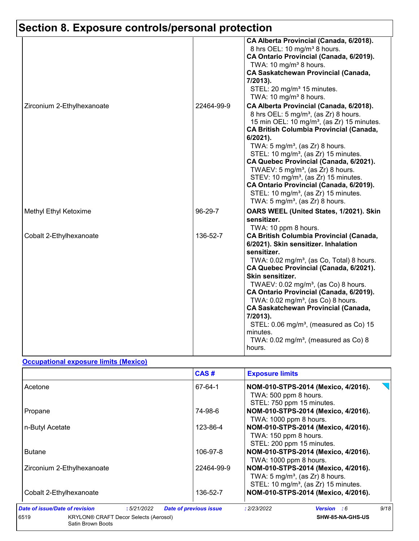# **Section 8. Exposure controls/personal protection**

|                            |            | CA Alberta Provincial (Canada, 6/2018).<br>8 hrs OEL: 10 mg/m <sup>3</sup> 8 hours.<br>CA Ontario Provincial (Canada, 6/2019).<br>TWA: 10 mg/m <sup>3</sup> 8 hours.<br><b>CA Saskatchewan Provincial (Canada,</b><br>7/2013).<br>STEL: 20 mg/m <sup>3</sup> 15 minutes.<br>TWA: 10 mg/m <sup>3</sup> 8 hours.                                                                                                                                                                                                                                                                                                        |
|----------------------------|------------|-----------------------------------------------------------------------------------------------------------------------------------------------------------------------------------------------------------------------------------------------------------------------------------------------------------------------------------------------------------------------------------------------------------------------------------------------------------------------------------------------------------------------------------------------------------------------------------------------------------------------|
| Zirconium 2-Ethylhexanoate | 22464-99-9 | CA Alberta Provincial (Canada, 6/2018).<br>8 hrs OEL: 5 mg/m <sup>3</sup> , (as Zr) 8 hours.<br>15 min OEL: 10 mg/m <sup>3</sup> , (as Zr) 15 minutes.<br><b>CA British Columbia Provincial (Canada,</b><br>6/2021).<br>TWA: $5 \text{ mg/m}^3$ , (as Zr) 8 hours.<br>STEL: 10 mg/m <sup>3</sup> , (as Zr) 15 minutes.<br>CA Quebec Provincial (Canada, 6/2021).<br>TWAEV: 5 mg/m <sup>3</sup> , (as $Zr$ ) 8 hours.<br>STEV: 10 mg/m <sup>3</sup> , (as Zr) 15 minutes.<br>CA Ontario Provincial (Canada, 6/2019).<br>STEL: 10 mg/m <sup>3</sup> , (as Zr) 15 minutes.<br>TWA: $5 \text{ mg/m}^3$ , (as Zr) 8 hours. |
| Methyl Ethyl Ketoxime      | 96-29-7    | OARS WEEL (United States, 1/2021). Skin<br>sensitizer.<br>TWA: 10 ppm 8 hours.                                                                                                                                                                                                                                                                                                                                                                                                                                                                                                                                        |
| Cobalt 2-Ethylhexanoate    | 136-52-7   | <b>CA British Columbia Provincial (Canada,</b><br>6/2021). Skin sensitizer. Inhalation<br>sensitizer.<br>TWA: 0.02 mg/m <sup>3</sup> , (as Co, Total) 8 hours.<br>CA Quebec Provincial (Canada, 6/2021).<br>Skin sensitizer.<br>TWAEV: $0.02$ mg/m <sup>3</sup> , (as Co) 8 hours.<br>CA Ontario Provincial (Canada, 6/2019).<br>TWA: $0.02$ mg/m <sup>3</sup> , (as Co) 8 hours.<br><b>CA Saskatchewan Provincial (Canada,</b><br>7/2013).<br>STEL: $0.06$ mg/m <sup>3</sup> , (measured as Co) 15<br>minutes.<br>TWA: $0.02 \text{ mg/m}^3$ , (measured as Co) 8<br>hours.                                          |

#### **Occupational exposure limits (Mexico)**

|                                                                           | CAS#                          | <b>Exposure limits</b>                                                                                                                |
|---------------------------------------------------------------------------|-------------------------------|---------------------------------------------------------------------------------------------------------------------------------------|
| Acetone                                                                   | 67-64-1                       | NOM-010-STPS-2014 (Mexico, 4/2016).<br>TWA: 500 ppm 8 hours.<br>STEL: 750 ppm 15 minutes.                                             |
| Propane                                                                   | 74-98-6                       | NOM-010-STPS-2014 (Mexico, 4/2016).<br>TWA: 1000 ppm 8 hours.                                                                         |
| n-Butyl Acetate                                                           | 123-86-4                      | NOM-010-STPS-2014 (Mexico, 4/2016).<br>TWA: 150 ppm 8 hours.<br>STEL: 200 ppm 15 minutes.                                             |
| <b>Butane</b>                                                             | 106-97-8                      | NOM-010-STPS-2014 (Mexico, 4/2016).<br>TWA: 1000 ppm 8 hours.                                                                         |
| Zirconium 2-Ethylhexanoate                                                | 22464-99-9                    | NOM-010-STPS-2014 (Mexico, 4/2016).<br>TWA: $5 \text{ mg/m}^3$ , (as Zr) 8 hours.<br>STEL: 10 mg/m <sup>3</sup> , (as Zr) 15 minutes. |
| Cobalt 2-Ethylhexanoate                                                   | 136-52-7                      | NOM-010-STPS-2014 (Mexico, 4/2016).                                                                                                   |
| Date of issue/Date of revision<br>:5/21/2022                              | <b>Date of previous issue</b> | 9/18<br>: 2/23/2022<br><b>Version</b> : 6                                                                                             |
| 6519<br><b>KRYLON® CRAFT Decor Selects (Aerosol)</b><br>Satin Brown Boots |                               | SHW-85-NA-GHS-US                                                                                                                      |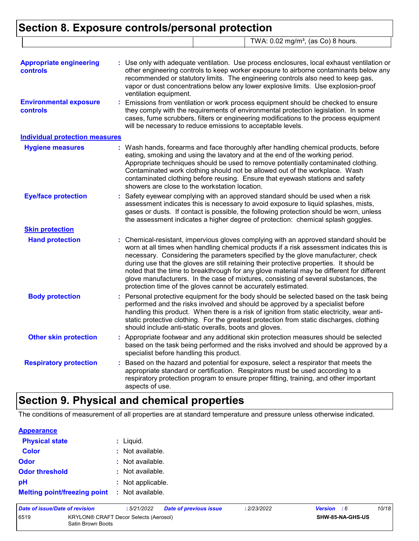### **Section 8. Exposure controls/personal protection** TWA: 0.02 mg/m<sup>3</sup>, (as Co) 8 hours.

| <b>Appropriate engineering</b><br>controls       | Use only with adequate ventilation. Use process enclosures, local exhaust ventilation or<br>other engineering controls to keep worker exposure to airborne contaminants below any<br>recommended or statutory limits. The engineering controls also need to keep gas,<br>vapor or dust concentrations below any lower explosive limits. Use explosion-proof<br>ventilation equipment.                                                                                                                                                                                                                                |
|--------------------------------------------------|----------------------------------------------------------------------------------------------------------------------------------------------------------------------------------------------------------------------------------------------------------------------------------------------------------------------------------------------------------------------------------------------------------------------------------------------------------------------------------------------------------------------------------------------------------------------------------------------------------------------|
| <b>Environmental exposure</b><br><b>controls</b> | Emissions from ventilation or work process equipment should be checked to ensure<br>they comply with the requirements of environmental protection legislation. In some<br>cases, fume scrubbers, filters or engineering modifications to the process equipment<br>will be necessary to reduce emissions to acceptable levels.                                                                                                                                                                                                                                                                                        |
| <b>Individual protection measures</b>            |                                                                                                                                                                                                                                                                                                                                                                                                                                                                                                                                                                                                                      |
| <b>Hygiene measures</b>                          | : Wash hands, forearms and face thoroughly after handling chemical products, before<br>eating, smoking and using the lavatory and at the end of the working period.<br>Appropriate techniques should be used to remove potentially contaminated clothing.<br>Contaminated work clothing should not be allowed out of the workplace. Wash<br>contaminated clothing before reusing. Ensure that eyewash stations and safety<br>showers are close to the workstation location.                                                                                                                                          |
| <b>Eye/face protection</b>                       | Safety eyewear complying with an approved standard should be used when a risk<br>assessment indicates this is necessary to avoid exposure to liquid splashes, mists,<br>gases or dusts. If contact is possible, the following protection should be worn, unless<br>the assessment indicates a higher degree of protection: chemical splash goggles.                                                                                                                                                                                                                                                                  |
| <b>Skin protection</b>                           |                                                                                                                                                                                                                                                                                                                                                                                                                                                                                                                                                                                                                      |
| <b>Hand protection</b>                           | Chemical-resistant, impervious gloves complying with an approved standard should be<br>worn at all times when handling chemical products if a risk assessment indicates this is<br>necessary. Considering the parameters specified by the glove manufacturer, check<br>during use that the gloves are still retaining their protective properties. It should be<br>noted that the time to breakthrough for any glove material may be different for different<br>glove manufacturers. In the case of mixtures, consisting of several substances, the<br>protection time of the gloves cannot be accurately estimated. |
| <b>Body protection</b>                           | Personal protective equipment for the body should be selected based on the task being<br>performed and the risks involved and should be approved by a specialist before<br>handling this product. When there is a risk of ignition from static electricity, wear anti-<br>static protective clothing. For the greatest protection from static discharges, clothing<br>should include anti-static overalls, boots and gloves.                                                                                                                                                                                         |
| <b>Other skin protection</b>                     | : Appropriate footwear and any additional skin protection measures should be selected<br>based on the task being performed and the risks involved and should be approved by a<br>specialist before handling this product.                                                                                                                                                                                                                                                                                                                                                                                            |
| <b>Respiratory protection</b>                    | Based on the hazard and potential for exposure, select a respirator that meets the<br>appropriate standard or certification. Respirators must be used according to a<br>respiratory protection program to ensure proper fitting, training, and other important<br>aspects of use.                                                                                                                                                                                                                                                                                                                                    |

## **Section 9. Physical and chemical properties**

The conditions of measurement of all properties are at standard temperature and pressure unless otherwise indicated.

| <b>Appearance</b>                   |                   |
|-------------------------------------|-------------------|
| <b>Physical state</b>               | $:$ Liquid.       |
| <b>Color</b>                        | : Not available.  |
| Odor                                | : Not available.  |
| <b>Odor threshold</b>               | : Not available.  |
| pH                                  | : Not applicable. |
| <b>Melting point/freezing point</b> | : Not available.  |

| Date of issue/Date of revision                                     |  | : 5/21/2022 | <b>Date of previous issue</b> | : 2/23/2022             | <b>Version</b> : 6 | 10/18 |
|--------------------------------------------------------------------|--|-------------|-------------------------------|-------------------------|--------------------|-------|
| 6519<br>KRYLON® CRAFT Decor Selects (Aerosol)<br>Satin Brown Boots |  |             |                               | <b>SHW-85-NA-GHS-US</b> |                    |       |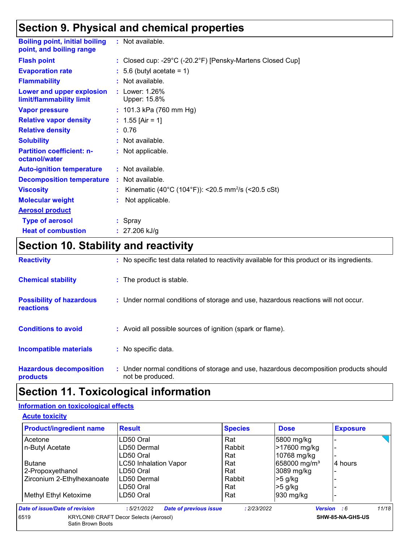### **Section 9. Physical and chemical properties**

| <b>Boiling point, initial boiling</b><br>point, and boiling range | : Not available.                                               |
|-------------------------------------------------------------------|----------------------------------------------------------------|
| <b>Flash point</b>                                                | : Closed cup: -29°C (-20.2°F) [Pensky-Martens Closed Cup]      |
| <b>Evaporation rate</b>                                           | $: 5.6$ (butyl acetate = 1)                                    |
| <b>Flammability</b>                                               | : Not available.                                               |
| Lower and upper explosion<br>limit/flammability limit             | : Lower: 1.26%<br>Upper: 15.8%                                 |
| <b>Vapor pressure</b>                                             | : $101.3$ kPa (760 mm Hg)                                      |
| <b>Relative vapor density</b>                                     | : $1.55$ [Air = 1]                                             |
| <b>Relative density</b>                                           | : 0.76                                                         |
| <b>Solubility</b>                                                 | : Not available.                                               |
| <b>Partition coefficient: n-</b><br>octanol/water                 | : Not applicable.                                              |
| <b>Auto-ignition temperature</b>                                  | : Not available.                                               |
| <b>Decomposition temperature</b>                                  | : Not available.                                               |
| <b>Viscosity</b>                                                  | Kinematic (40°C (104°F)): <20.5 mm <sup>2</sup> /s (<20.5 cSt) |
| <b>Molecular weight</b>                                           | Not applicable.                                                |
| <b>Aerosol product</b>                                            |                                                                |
| <b>Type of aerosol</b>                                            | $:$ Spray                                                      |
| <b>Heat of combustion</b>                                         | : $27.206$ kJ/g                                                |

# **Section 10. Stability and reactivity**

| <b>Reactivity</b>                                   | : No specific test data related to reactivity available for this product or its ingredients.              |
|-----------------------------------------------------|-----------------------------------------------------------------------------------------------------------|
| <b>Chemical stability</b>                           | : The product is stable.                                                                                  |
| <b>Possibility of hazardous</b><br><b>reactions</b> | : Under normal conditions of storage and use, hazardous reactions will not occur.                         |
| <b>Conditions to avoid</b>                          | : Avoid all possible sources of ignition (spark or flame).                                                |
| <b>Incompatible materials</b>                       | : No specific data.                                                                                       |
| <b>Hazardous decomposition</b><br>products          | : Under normal conditions of storage and use, hazardous decomposition products should<br>not be produced. |

## **Section 11. Toxicological information**

#### **Information on toxicological effects**

**Acute toxicity**

| <b>Product/ingredient name</b>                | <b>Result</b>                                | <b>Species</b> | <b>Dose</b>              | <b>Exposure</b>             |
|-----------------------------------------------|----------------------------------------------|----------------|--------------------------|-----------------------------|
| Acetone                                       | LD50 Oral                                    | Rat            | 5800 mg/kg               |                             |
| n-Butyl Acetate                               | LD50 Dermal                                  | Rabbit         | >17600 mg/kg             | $\overline{\phantom{0}}$    |
|                                               | LD50 Oral                                    | Rat            | 10768 mg/kg              |                             |
| <b>LC50 Inhalation Vapor</b><br><b>Butane</b> |                                              | Rat            | 658000 mg/m <sup>3</sup> | 4 hours                     |
| 2-Propoxyethanol                              | LD50 Oral                                    | Rat            | 3089 mg/kg               |                             |
| Zirconium 2-Ethylhexanoate                    | LD50 Dermal                                  | Rabbit         | $>5$ g/kg                |                             |
|                                               | LD50 Oral                                    | Rat            | $>5$ g/kg                |                             |
| Methyl Ethyl Ketoxime                         | LD50 Oral                                    | Rat            | $930$ mg/kg              |                             |
| Date of issue/Date of revision                | <b>Date of previous issue</b><br>:5/21/2022  | : 2/23/2022    |                          | 11/18<br><b>Version</b> : 6 |
| 6519<br>Satin Brown Boots                     | <b>KRYLON® CRAFT Decor Selects (Aerosol)</b> |                |                          | SHW-85-NA-GHS-US            |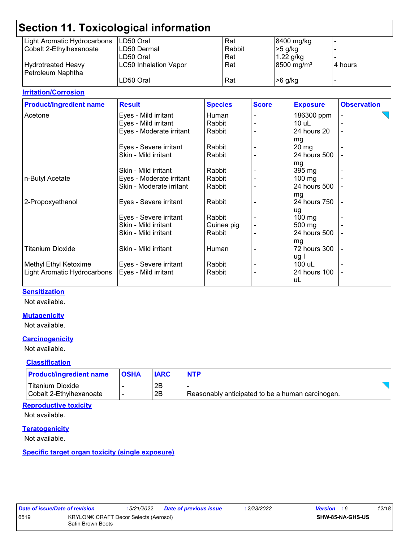|                             | Section 11. Toxicological information |        |                        |         |  |
|-----------------------------|---------------------------------------|--------|------------------------|---------|--|
| Light Aromatic Hydrocarbons | ILD50 Oral                            | Rat    | 8400 mg/kg             |         |  |
| Cobalt 2-Ethylhexanoate     | LD50 Dermal                           | Rabbit | $>5$ g/kg              |         |  |
|                             | LD50 Oral                             | Rat    | $1.22$ g/kg            |         |  |
| <b>Hydrotreated Heavy</b>   | <b>LC50 Inhalation Vapor</b>          | Rat    | 8500 mg/m <sup>3</sup> | 4 hours |  |
| Petroleum Naphtha           |                                       |        |                        |         |  |
|                             | LD50 Oral                             | Rat    | $>6$ g/kg              |         |  |
|                             |                                       |        |                        |         |  |

#### **Irritation/Corrosion**

| <b>Product/ingredient name</b> | <b>Result</b>            | <b>Species</b> | <b>Score</b> | <b>Exposure</b>  | <b>Observation</b> |
|--------------------------------|--------------------------|----------------|--------------|------------------|--------------------|
| Acetone                        | Eyes - Mild irritant     | Human          |              | 186300 ppm       |                    |
|                                | Eyes - Mild irritant     | Rabbit         |              | $10$ uL          |                    |
|                                | Eyes - Moderate irritant | Rabbit         |              | 24 hours 20      |                    |
|                                |                          |                |              | mg               |                    |
|                                | Eyes - Severe irritant   | Rabbit         |              | $20 \, mg$       |                    |
|                                | Skin - Mild irritant     | Rabbit         |              | 24 hours 500     |                    |
|                                |                          |                |              | mg               |                    |
|                                | Skin - Mild irritant     | Rabbit         |              | 395 mg           |                    |
| n-Butyl Acetate                | Eyes - Moderate irritant | Rabbit         |              | $100 \text{ mg}$ |                    |
|                                | Skin - Moderate irritant | Rabbit         |              | 24 hours 500     |                    |
|                                |                          |                |              | mg               |                    |
| 2-Propoxyethanol               | Eyes - Severe irritant   | Rabbit         |              | 24 hours 750     |                    |
|                                |                          |                |              | ug               |                    |
|                                | Eyes - Severe irritant   | Rabbit         |              | $100 \text{ mg}$ |                    |
|                                | Skin - Mild irritant     | Guinea pig     |              | 500 mg           |                    |
|                                | Skin - Mild irritant     | Rabbit         |              | 24 hours 500     |                    |
|                                |                          |                |              | mg               |                    |
| <b>Titanium Dioxide</b>        | Skin - Mild irritant     | Human          |              | 72 hours 300     | $\overline{a}$     |
|                                |                          |                |              | ug I             |                    |
| Methyl Ethyl Ketoxime          | Eyes - Severe irritant   | Rabbit         |              | 100 uL           |                    |
| Light Aromatic Hydrocarbons    | Eyes - Mild irritant     | Rabbit         |              | 24 hours 100     |                    |
|                                |                          |                |              | uL               |                    |
|                                |                          |                |              |                  |                    |

#### **Sensitization**

Not available.

#### **Mutagenicity**

Not available.

#### **Carcinogenicity**

Not available.

#### **Classification**

| <b>Product/ingredient name</b> | <b>OSHA</b> | <b>IARC</b> | <b>NTP</b>                                       |  |
|--------------------------------|-------------|-------------|--------------------------------------------------|--|
| Titanium Dioxide               |             | 2B          |                                                  |  |
| Cobalt 2-Ethylhexanoate        |             | 2B          | Reasonably anticipated to be a human carcinogen. |  |

#### **Reproductive toxicity**

Not available.

#### **Teratogenicity**

Not available.

**Specific target organ toxicity (single exposure)**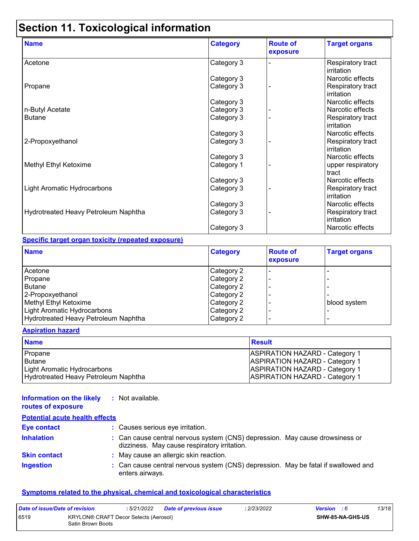# **Section 11. Toxicological information**

| <b>Name</b>                          | <b>Category</b> | <b>Route of</b><br>exposure | <b>Target organs</b>            |
|--------------------------------------|-----------------|-----------------------------|---------------------------------|
| Acetone                              | Category 3      |                             | Respiratory tract<br>irritation |
|                                      | Category 3      |                             | Narcotic effects                |
| Propane                              | Category 3      |                             | Respiratory tract<br>irritation |
|                                      | Category 3      |                             | Narcotic effects                |
| n-Butyl Acetate                      | Category 3      |                             | Narcotic effects                |
| <b>Butane</b>                        | Category 3      |                             | Respiratory tract<br>irritation |
|                                      | Category 3      |                             | Narcotic effects                |
| 2-Propoxyethanol                     | Category 3      |                             | Respiratory tract<br>irritation |
|                                      | Category 3      |                             | Narcotic effects                |
| Methyl Ethyl Ketoxime                | Category 1      |                             | upper respiratory<br>tract      |
|                                      | Category 3      |                             | Narcotic effects                |
| Light Aromatic Hydrocarbons          | Category 3      |                             | Respiratory tract<br>irritation |
|                                      | Category 3      |                             | Narcotic effects                |
| Hydrotreated Heavy Petroleum Naphtha | Category 3      |                             | Respiratory tract<br>irritation |
|                                      | Category 3      |                             | Narcotic effects                |

#### **Specific target organ toxicity (repeated exposure)**

| <b>Name</b>                          | <b>Category</b> | <b>Route of</b><br>exposure | <b>Target organs</b> |
|--------------------------------------|-----------------|-----------------------------|----------------------|
| Acetone                              | Category 2      |                             |                      |
| Propane                              | Category 2      |                             |                      |
| <b>Butane</b>                        | Category 2      |                             |                      |
| 2-Propoxyethanol                     | Category 2      |                             |                      |
| Methyl Ethyl Ketoxime                | Category 2      |                             | blood system         |
| Light Aromatic Hydrocarbons          | Category 2      |                             |                      |
| Hydrotreated Heavy Petroleum Naphtha | Category 2      |                             |                      |

#### **Aspiration hazard**

| <b>Name</b>                          | <b>Result</b>                         |
|--------------------------------------|---------------------------------------|
| Propane                              | <b>ASPIRATION HAZARD - Category 1</b> |
| <b>Butane</b>                        | <b>ASPIRATION HAZARD - Category 1</b> |
| Light Aromatic Hydrocarbons          | <b>ASPIRATION HAZARD - Category 1</b> |
| Hydrotreated Heavy Petroleum Naphtha | <b>ASPIRATION HAZARD - Category 1</b> |

#### **Information on the likely :** Not available. **routes of exposure**

| <b>Potential acute health effects</b> |                                                                                                                              |
|---------------------------------------|------------------------------------------------------------------------------------------------------------------------------|
| <b>Eye contact</b>                    | : Causes serious eye irritation.                                                                                             |
| <b>Inhalation</b>                     | : Can cause central nervous system (CNS) depression. May cause drowsiness or<br>dizziness. May cause respiratory irritation. |
| <b>Skin contact</b>                   | : May cause an allergic skin reaction.                                                                                       |
| <b>Ingestion</b>                      | : Can cause central nervous system (CNS) depression. May be fatal if swallowed and<br>enters airways.                        |

#### **Symptoms related to the physical, chemical and toxicological characteristics**

| Date of issue/Date of revision |                                                            | : 5/21/2022 | <b>Date of previous issue</b> | : 2/23/2022 | <b>Version</b> : 6      | 13/18 |
|--------------------------------|------------------------------------------------------------|-------------|-------------------------------|-------------|-------------------------|-------|
| 6519                           | KRYLON® CRAFT Decor Selects (Aerosol)<br>Satin Brown Boots |             |                               |             | <b>SHW-85-NA-GHS-US</b> |       |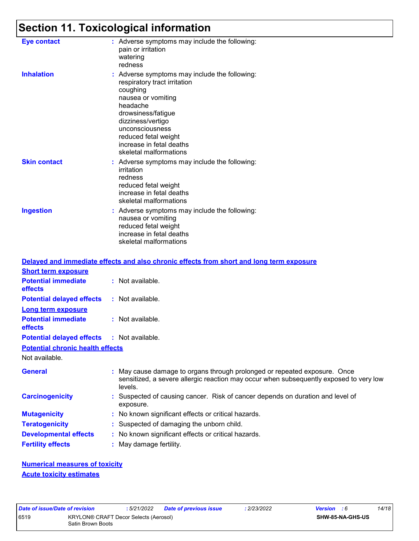# **Section 11. Toxicological information**

| <b>Eye contact</b>  | : Adverse symptoms may include the following:<br>pain or irritation<br>watering<br>redness                                                                                                                                                                              |
|---------------------|-------------------------------------------------------------------------------------------------------------------------------------------------------------------------------------------------------------------------------------------------------------------------|
| <b>Inhalation</b>   | : Adverse symptoms may include the following:<br>respiratory tract irritation<br>coughing<br>nausea or vomiting<br>headache<br>drowsiness/fatigue<br>dizziness/vertigo<br>unconsciousness<br>reduced fetal weight<br>increase in fetal deaths<br>skeletal malformations |
| <b>Skin contact</b> | : Adverse symptoms may include the following:<br>irritation<br>redness<br>reduced fetal weight<br>increase in fetal deaths<br>skeletal malformations                                                                                                                    |
| <b>Ingestion</b>    | : Adverse symptoms may include the following:<br>nausea or vomiting<br>reduced fetal weight<br>increase in fetal deaths<br>skeletal malformations                                                                                                                       |

|                                                   | Delayed and immediate effects and also chronic effects from short and long term exposure                                                                                       |
|---------------------------------------------------|--------------------------------------------------------------------------------------------------------------------------------------------------------------------------------|
| <b>Short term exposure</b>                        |                                                                                                                                                                                |
| <b>Potential immediate</b><br><b>effects</b>      | : Not available.                                                                                                                                                               |
| <b>Potential delayed effects</b>                  | : Not available.                                                                                                                                                               |
| <b>Long term exposure</b>                         |                                                                                                                                                                                |
| <b>Potential immediate</b><br><b>effects</b>      | : Not available.                                                                                                                                                               |
| <b>Potential delayed effects : Not available.</b> |                                                                                                                                                                                |
| <b>Potential chronic health effects</b>           |                                                                                                                                                                                |
| Not available.                                    |                                                                                                                                                                                |
| <b>General</b>                                    | : May cause damage to organs through prolonged or repeated exposure. Once<br>sensitized, a severe allergic reaction may occur when subsequently exposed to very low<br>levels. |
| <b>Carcinogenicity</b>                            | : Suspected of causing cancer. Risk of cancer depends on duration and level of<br>exposure.                                                                                    |
| <b>Mutagenicity</b>                               | : No known significant effects or critical hazards.                                                                                                                            |
| <b>Teratogenicity</b>                             | : Suspected of damaging the unborn child.                                                                                                                                      |
| <b>Developmental effects</b>                      | : No known significant effects or critical hazards.                                                                                                                            |
| <b>Fertility effects</b>                          | : May damage fertility.                                                                                                                                                        |

**Numerical measures of toxicity Acute toxicity estimates**

|     | ate of Issue/Date |  |  |
|-----|-------------------|--|--|
| 19ء |                   |  |  |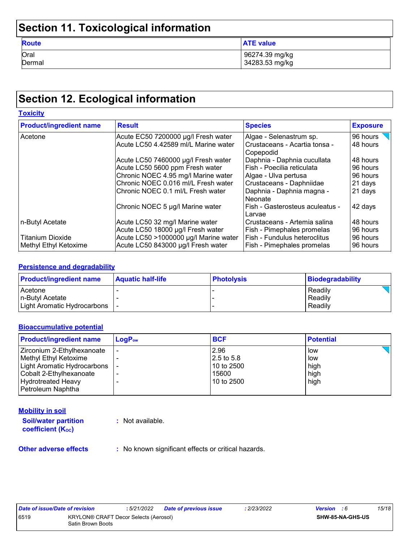# **Section 11. Toxicological information**

| <b>Route</b> | <b>ATE value</b> |
|--------------|------------------|
| Oral         | 96274.39 mg/kg   |
| Dermal       | 34283.53 mg/kg   |

## **Section 12. Ecological information**

| <b>Toxicity</b>                |                                       |                                                |                 |
|--------------------------------|---------------------------------------|------------------------------------------------|-----------------|
| <b>Product/ingredient name</b> | <b>Result</b>                         | <b>Species</b>                                 | <b>Exposure</b> |
| Acetone                        | Acute EC50 7200000 µg/l Fresh water   | Algae - Selenastrum sp.                        | 96 hours        |
|                                | Acute LC50 4.42589 ml/L Marine water  | l Crustaceans - Acartia tonsa -<br>l Copepodid | 48 hours        |
|                                | Acute LC50 7460000 µg/l Fresh water   | Daphnia - Daphnia cucullata                    | 48 hours        |
|                                | Acute LC50 5600 ppm Fresh water       | Fish - Poecilia reticulata                     | 96 hours        |
|                                | Chronic NOEC 4.95 mg/l Marine water   | Algae - Ulva pertusa                           | 96 hours        |
|                                | Chronic NOEC 0.016 ml/L Fresh water   | Crustaceans - Daphniidae                       | 21 days         |
|                                | Chronic NOEC 0.1 ml/L Fresh water     | Daphnia - Daphnia magna -<br>l Neonate         | 21 days         |
|                                | Chronic NOEC 5 µg/l Marine water      | Fish - Gasterosteus aculeatus -<br>Larvae      | 42 days         |
| n-Butyl Acetate                | Acute LC50 32 mg/l Marine water       | Crustaceans - Artemia salina                   | 48 hours        |
|                                | Acute LC50 18000 µg/l Fresh water     | Fish - Pimephales promelas                     | 96 hours        |
| <b>Titanium Dioxide</b>        | Acute LC50 >1000000 µg/l Marine water | Fish - Fundulus heteroclitus                   | 96 hours        |
| Methyl Ethyl Ketoxime          | Acute LC50 843000 µg/l Fresh water    | Fish - Pimephales promelas                     | 96 hours        |

#### **Persistence and degradability**

| <b>Product/ingredient name</b>  | <b>Aquatic half-life</b> | <b>Photolysis</b> | Biodegradability |
|---------------------------------|--------------------------|-------------------|------------------|
| Acetone                         |                          |                   | Readily          |
| In-Butvl Acetate                |                          |                   | Readily          |
| Light Aromatic Hydrocarbons   - |                          |                   | Readily          |

#### **Bioaccumulative potential**

| <b>Product/ingredient name</b> | $LogP_{ow}$ | <b>BCF</b> | <b>Potential</b> |
|--------------------------------|-------------|------------|------------------|
| Zirconium 2-Ethylhexanoate     |             | 2.96       | low              |
| Methyl Ethyl Ketoxime          |             | 2.5 to 5.8 | low              |
| Light Aromatic Hydrocarbons    |             | 10 to 2500 | high             |
| Cobalt 2-Ethylhexanoate        |             | 15600      | high             |
| <b>Hydrotreated Heavy</b>      |             | 10 to 2500 | high             |
| Petroleum Naphtha              |             |            |                  |

#### **Mobility in soil**

**Soil/water partition coefficient (KOC) :** Not available.

**Other adverse effects** : No known significant effects or critical hazards.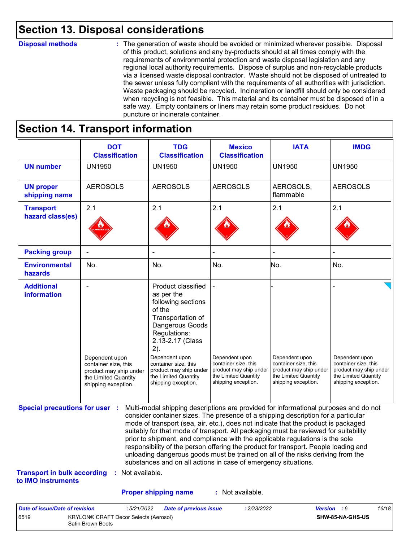### **Section 13. Disposal considerations**

#### **Disposal methods :**

The generation of waste should be avoided or minimized wherever possible. Disposal of this product, solutions and any by-products should at all times comply with the requirements of environmental protection and waste disposal legislation and any regional local authority requirements. Dispose of surplus and non-recyclable products via a licensed waste disposal contractor. Waste should not be disposed of untreated to the sewer unless fully compliant with the requirements of all authorities with jurisdiction. Waste packaging should be recycled. Incineration or landfill should only be considered when recycling is not feasible. This material and its container must be disposed of in a safe way. Empty containers or liners may retain some product residues. Do not puncture or incinerate container.

## **Section 14. Transport information**

6519 KRYLON® CRAFT Decor Selects (Aerosol) Satin Brown Boots

|                                                                             | <b>DOT</b><br><b>Classification</b>                                                                             | <b>TDG</b><br><b>Classification</b>                                                                                                                                                                                                                                                                                                                                                                                                                                                                                                                                                                                                                                                 | <b>Mexico</b><br><b>Classification</b>                                                                          | <b>IATA</b>                                                                                                     | <b>IMDG</b>                                                                                                     |
|-----------------------------------------------------------------------------|-----------------------------------------------------------------------------------------------------------------|-------------------------------------------------------------------------------------------------------------------------------------------------------------------------------------------------------------------------------------------------------------------------------------------------------------------------------------------------------------------------------------------------------------------------------------------------------------------------------------------------------------------------------------------------------------------------------------------------------------------------------------------------------------------------------------|-----------------------------------------------------------------------------------------------------------------|-----------------------------------------------------------------------------------------------------------------|-----------------------------------------------------------------------------------------------------------------|
| <b>UN number</b>                                                            | <b>UN1950</b>                                                                                                   | <b>UN1950</b>                                                                                                                                                                                                                                                                                                                                                                                                                                                                                                                                                                                                                                                                       | <b>UN1950</b>                                                                                                   | <b>UN1950</b>                                                                                                   | <b>UN1950</b>                                                                                                   |
| <b>UN proper</b><br>shipping name                                           | <b>AEROSOLS</b>                                                                                                 | <b>AEROSOLS</b>                                                                                                                                                                                                                                                                                                                                                                                                                                                                                                                                                                                                                                                                     | <b>AEROSOLS</b>                                                                                                 | AEROSOLS,<br>flammable                                                                                          | <b>AEROSOLS</b>                                                                                                 |
| <b>Transport</b><br>hazard class(es)                                        | 2.1                                                                                                             | 2.1                                                                                                                                                                                                                                                                                                                                                                                                                                                                                                                                                                                                                                                                                 | 2.1                                                                                                             | 2.1                                                                                                             | 2.1                                                                                                             |
| <b>Packing group</b>                                                        |                                                                                                                 |                                                                                                                                                                                                                                                                                                                                                                                                                                                                                                                                                                                                                                                                                     |                                                                                                                 |                                                                                                                 |                                                                                                                 |
| <b>Environmental</b><br>hazards                                             | No.                                                                                                             | No.                                                                                                                                                                                                                                                                                                                                                                                                                                                                                                                                                                                                                                                                                 | No.                                                                                                             | No.                                                                                                             | No.                                                                                                             |
| <b>Additional</b><br>information                                            | Dependent upon<br>container size, this<br>product may ship under<br>the Limited Quantity<br>shipping exception. | Product classified<br>as per the<br>following sections<br>of the<br>Transportation of<br>Dangerous Goods<br>Regulations:<br>2.13-2.17 (Class<br>2).<br>Dependent upon<br>container size, this<br>product may ship under<br>the Limited Quantity<br>shipping exception.                                                                                                                                                                                                                                                                                                                                                                                                              | Dependent upon<br>container size, this<br>product may ship under<br>the Limited Quantity<br>shipping exception. | Dependent upon<br>container size, this<br>product may ship under<br>the Limited Quantity<br>shipping exception. | Dependent upon<br>container size, this<br>product may ship under<br>the Limited Quantity<br>shipping exception. |
| <b>Special precautions for user :</b><br><b>Transport in bulk according</b> | : Not available.                                                                                                | Multi-modal shipping descriptions are provided for informational purposes and do not<br>consider container sizes. The presence of a shipping description for a particular<br>mode of transport (sea, air, etc.), does not indicate that the product is packaged<br>suitably for that mode of transport. All packaging must be reviewed for suitability<br>prior to shipment, and compliance with the applicable regulations is the sole<br>responsibility of the person offering the product for transport. People loading and<br>unloading dangerous goods must be trained on all of the risks deriving from the<br>substances and on all actions in case of emergency situations. |                                                                                                                 |                                                                                                                 |                                                                                                                 |
| to IMO instruments                                                          |                                                                                                                 |                                                                                                                                                                                                                                                                                                                                                                                                                                                                                                                                                                                                                                                                                     |                                                                                                                 |                                                                                                                 |                                                                                                                 |
|                                                                             |                                                                                                                 | <b>Proper shipping name</b>                                                                                                                                                                                                                                                                                                                                                                                                                                                                                                                                                                                                                                                         | : Not available.                                                                                                |                                                                                                                 |                                                                                                                 |

**SHW-85-NA-GHS-US**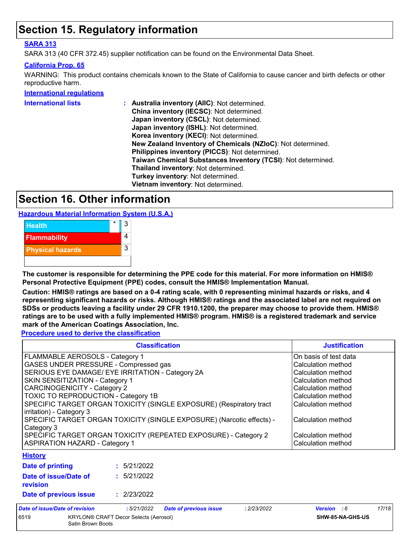### **Section 15. Regulatory information**

#### **SARA 313**

SARA 313 (40 CFR 372.45) supplier notification can be found on the Environmental Data Sheet.

#### **California Prop. 65**

WARNING: This product contains chemicals known to the State of California to cause cancer and birth defects or other reproductive harm.

#### **International regulations**

| <b>International lists</b> | Australia inventory (AIIC): Not determined.                  |
|----------------------------|--------------------------------------------------------------|
|                            | China inventory (IECSC): Not determined.                     |
|                            | Japan inventory (CSCL): Not determined.                      |
|                            | Japan inventory (ISHL): Not determined.                      |
|                            | Korea inventory (KECI): Not determined.                      |
|                            | New Zealand Inventory of Chemicals (NZIoC): Not determined.  |
|                            | Philippines inventory (PICCS): Not determined.               |
|                            | Taiwan Chemical Substances Inventory (TCSI): Not determined. |
|                            | Thailand inventory: Not determined.                          |
|                            | Turkey inventory: Not determined.                            |
|                            | Vietnam inventory: Not determined.                           |
|                            |                                                              |

### **Section 16. Other information**

**Hazardous Material Information System (U.S.A.)**



**The customer is responsible for determining the PPE code for this material. For more information on HMIS® Personal Protective Equipment (PPE) codes, consult the HMIS® Implementation Manual.**

**Caution: HMIS® ratings are based on a 0-4 rating scale, with 0 representing minimal hazards or risks, and 4 representing significant hazards or risks. Although HMIS® ratings and the associated label are not required on SDSs or products leaving a facility under 29 CFR 1910.1200, the preparer may choose to provide them. HMIS® ratings are to be used with a fully implemented HMIS® program. HMIS® is a registered trademark and service mark of the American Coatings Association, Inc.**

**Procedure used to derive the classification**

|                                                                                                 | <b>Justification</b> |                               |                    |                       |       |
|-------------------------------------------------------------------------------------------------|----------------------|-------------------------------|--------------------|-----------------------|-------|
| <b>FLAMMABLE AEROSOLS - Category 1</b>                                                          |                      |                               |                    | On basis of test data |       |
| GASES UNDER PRESSURE - Compressed gas                                                           |                      |                               |                    | Calculation method    |       |
| SERIOUS EYE DAMAGE/ EYE IRRITATION - Category 2A                                                |                      |                               |                    | Calculation method    |       |
| SKIN SENSITIZATION - Category 1                                                                 |                      |                               |                    | Calculation method    |       |
| CARCINOGENICITY - Category 2                                                                    |                      |                               |                    | Calculation method    |       |
| <b>TOXIC TO REPRODUCTION - Category 1B</b>                                                      |                      |                               |                    | Calculation method    |       |
| SPECIFIC TARGET ORGAN TOXICITY (SINGLE EXPOSURE) (Respiratory tract<br>irritation) - Category 3 |                      |                               |                    | Calculation method    |       |
| SPECIFIC TARGET ORGAN TOXICITY (SINGLE EXPOSURE) (Narcotic effects) -<br>Category 3             |                      |                               |                    | Calculation method    |       |
| SPECIFIC TARGET ORGAN TOXICITY (REPEATED EXPOSURE) - Category 2                                 |                      |                               |                    | Calculation method    |       |
| <b>ASPIRATION HAZARD - Category 1</b>                                                           |                      |                               | Calculation method |                       |       |
| <b>History</b>                                                                                  |                      |                               |                    |                       |       |
| Date of printing                                                                                | : 5/21/2022          |                               |                    |                       |       |
| Date of issue/Date of<br>revision                                                               | : 5/21/2022          |                               |                    |                       |       |
| Date of previous issue                                                                          | : 2/23/2022          |                               |                    |                       |       |
| Date of issue/Date of revision                                                                  | :5/21/2022           | <b>Date of previous issue</b> | : 2/23/2022        | <b>Version</b> : 6    | 17/18 |